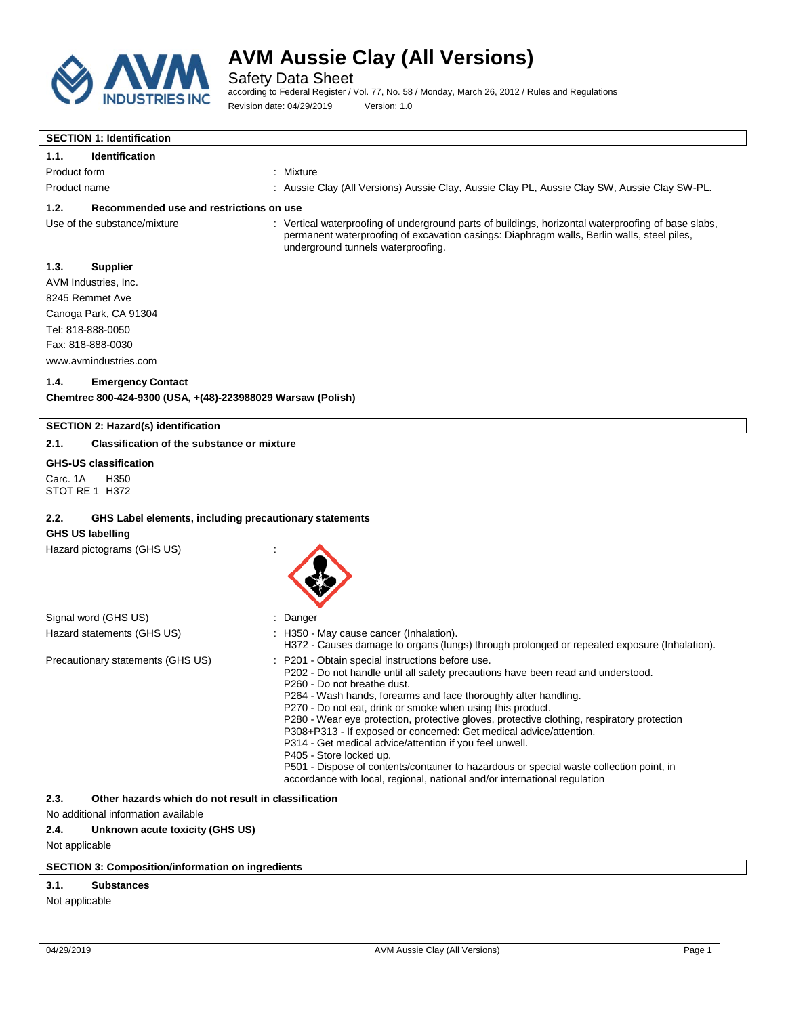

Safety Data Sheet

according to Federal Register / Vol. 77, No. 58 / Monday, March 26, 2012 / Rules and Regulations Revision date: 04/29/2019 Version: 1.0

#### **SECTION 1: Identification**

#### **1.1. Identification**

Product form : Nixture

Product name The Subsection of Aussie Clay (All Versions) Aussie Clay, Aussie Clay PL, Aussie Clay SW, Aussie Clay SW-PL.

#### **1.2. Recommended use and restrictions on use**

Use of the substance/mixture : Vertical waterproofing of underground parts of buildings, horizontal waterproofing of base slabs, permanent waterproofing of excavation casings: Diaphragm walls, Berlin walls, steel piles, underground tunnels waterproofing.

#### **1.3. Supplier**

AVM Industries, Inc. 8245 Remmet Ave Canoga Park, CA 91304 Tel: 818-888-0050 Fax: 818-888-0030 www.avmindustries.com

#### **1.4. Emergency Contact**

**Chemtrec 800-424-9300 (USA, +(48)-223988029 Warsaw (Polish)**

#### **SECTION 2: Hazard(s) identification**

#### **2.1. Classification of the substance or mixture**

### **GHS-US classification**

Carc. 1A H350 STOT RE 1 H372

#### **2.2. GHS Label elements, including precautionary statements**

#### **GHS US labelling**

Hazard pictograms (GHS US) :



| Signal word (GHS US)              | Danger                                                                                                                                                                                                                                                                                                                                                                                                                                                                                                                                                                                                                                                                                                                                             |
|-----------------------------------|----------------------------------------------------------------------------------------------------------------------------------------------------------------------------------------------------------------------------------------------------------------------------------------------------------------------------------------------------------------------------------------------------------------------------------------------------------------------------------------------------------------------------------------------------------------------------------------------------------------------------------------------------------------------------------------------------------------------------------------------------|
| Hazard statements (GHS US)        | : H350 - May cause cancer (Inhalation).<br>H372 - Causes damage to organs (lungs) through prolonged or repeated exposure (Inhalation).                                                                                                                                                                                                                                                                                                                                                                                                                                                                                                                                                                                                             |
| Precautionary statements (GHS US) | : P201 - Obtain special instructions before use.<br>P202 - Do not handle until all safety precautions have been read and understood.<br>P <sub>260</sub> - Do not breathe dust.<br>P264 - Wash hands, forearms and face thoroughly after handling.<br>P270 - Do not eat, drink or smoke when using this product.<br>P280 - Wear eye protection, protective gloves, protective clothing, respiratory protection<br>P308+P313 - If exposed or concerned: Get medical advice/attention.<br>P314 - Get medical advice/attention if you feel unwell.<br>P405 - Store locked up.<br>P501 - Dispose of contents/container to hazardous or special waste collection point, in<br>accordance with local, regional, national and/or international regulation |

#### **2.3. Other hazards which do not result in classification**

No additional information available

#### **2.4. Unknown acute toxicity (GHS US)**

Not applicable

#### **SECTION 3: Composition/information on ingredients**

### **3.1. Substances**

Not applicable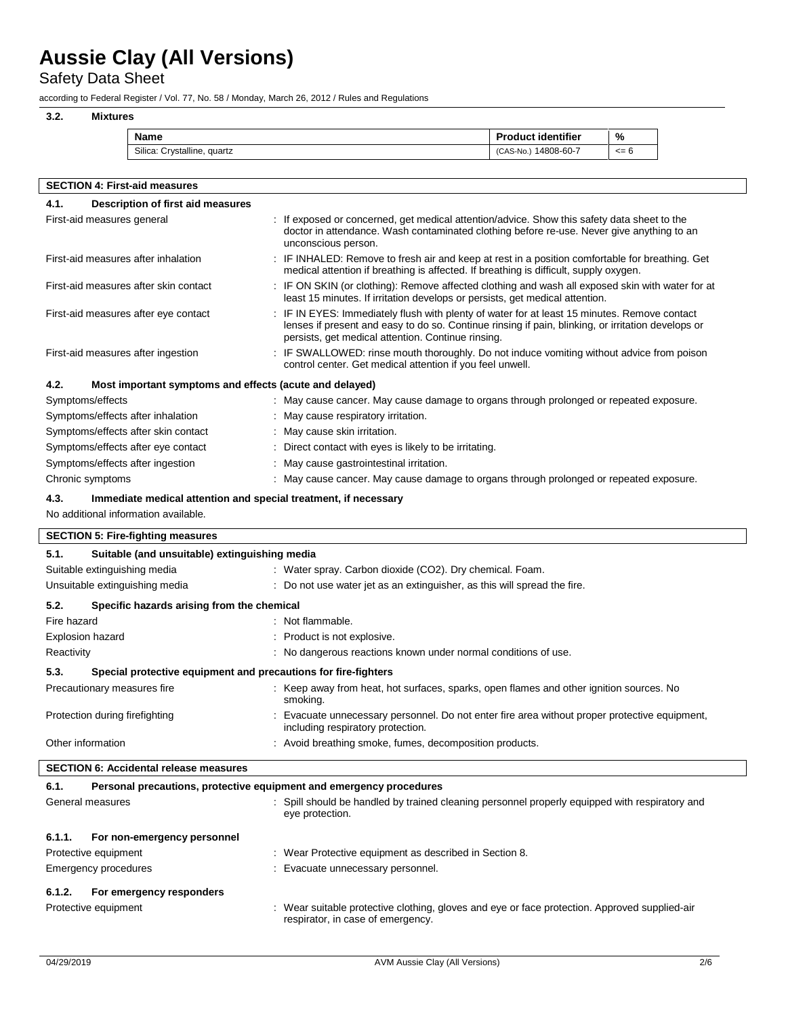Safety Data Sheet

according to Federal Register / Vol. 77, No. 58 / Monday, March 26, 2012 / Rules and Regulations

# **3.2. Mixtures Name Product identifier %**<br>
Silica: Crystalline, quartz (CAS-No.) 14808-60-7 <= Silica: Crystalline, quartz <= 6

| <b>SECTION 4: First-aid measures</b>                            |                                                                                                                                                                                                                                                          |  |  |
|-----------------------------------------------------------------|----------------------------------------------------------------------------------------------------------------------------------------------------------------------------------------------------------------------------------------------------------|--|--|
| Description of first aid measures<br>4.1.                       |                                                                                                                                                                                                                                                          |  |  |
| First-aid measures general                                      | : If exposed or concerned, get medical attention/advice. Show this safety data sheet to the<br>doctor in attendance. Wash contaminated clothing before re-use. Never give anything to an<br>unconscious person.                                          |  |  |
| First-aid measures after inhalation                             | : IF INHALED: Remove to fresh air and keep at rest in a position comfortable for breathing. Get<br>medical attention if breathing is affected. If breathing is difficult, supply oxygen.                                                                 |  |  |
| First-aid measures after skin contact                           | : IF ON SKIN (or clothing): Remove affected clothing and wash all exposed skin with water for at<br>least 15 minutes. If irritation develops or persists, get medical attention.                                                                         |  |  |
| First-aid measures after eye contact                            | : IF IN EYES: Immediately flush with plenty of water for at least 15 minutes. Remove contact<br>lenses if present and easy to do so. Continue rinsing if pain, blinking, or irritation develops or<br>persists, get medical attention. Continue rinsing. |  |  |
| First-aid measures after ingestion                              | : IF SWALLOWED: rinse mouth thoroughly. Do not induce vomiting without advice from poison<br>control center. Get medical attention if you feel unwell.                                                                                                   |  |  |
| 4.2.<br>Most important symptoms and effects (acute and delayed) |                                                                                                                                                                                                                                                          |  |  |
| Symptoms/effects                                                | : May cause cancer. May cause damage to organs through prolonged or repeated exposure.                                                                                                                                                                   |  |  |
| Symptoms/effects after inhalation                               | : May cause respiratory irritation.                                                                                                                                                                                                                      |  |  |
| Symptoms/effects after skin contact                             | : May cause skin irritation.                                                                                                                                                                                                                             |  |  |
| Symptoms/effects after eye contact                              | : Direct contact with eyes is likely to be irritating.                                                                                                                                                                                                   |  |  |
| Symptoms/effects after ingestion                                | : May cause gastrointestinal irritation.                                                                                                                                                                                                                 |  |  |
| Chronic symptoms                                                | : May cause cancer. May cause damage to organs through prolonged or repeated exposure.                                                                                                                                                                   |  |  |
|                                                                 |                                                                                                                                                                                                                                                          |  |  |

### **4.3. Immediate medical attention and special treatment, if necessary**

No additional information available.

| <b>SECTION 5: Fire-fighting measures</b>                                     |                                                                                                                                    |  |  |
|------------------------------------------------------------------------------|------------------------------------------------------------------------------------------------------------------------------------|--|--|
| 5.1.<br>Suitable (and unsuitable) extinguishing media                        |                                                                                                                                    |  |  |
| Suitable extinguishing media                                                 | : Water spray. Carbon dioxide (CO2). Dry chemical. Foam.                                                                           |  |  |
| Unsuitable extinguishing media                                               | : Do not use water jet as an extinguisher, as this will spread the fire.                                                           |  |  |
| Specific hazards arising from the chemical<br>5.2.                           |                                                                                                                                    |  |  |
| Fire hazard                                                                  | : Not flammable.                                                                                                                   |  |  |
| Explosion hazard                                                             | : Product is not explosive.                                                                                                        |  |  |
| Reactivity                                                                   | : No dangerous reactions known under normal conditions of use.                                                                     |  |  |
| 5.3.<br>Special protective equipment and precautions for fire-fighters       |                                                                                                                                    |  |  |
| Precautionary measures fire                                                  | : Keep away from heat, hot surfaces, sparks, open flames and other ignition sources. No<br>smoking.                                |  |  |
| Protection during firefighting                                               | : Evacuate unnecessary personnel. Do not enter fire area without proper protective equipment,<br>including respiratory protection. |  |  |
| Other information<br>: Avoid breathing smoke, fumes, decomposition products. |                                                                                                                                    |  |  |
| <b>SECTION 6: Accidental release measures</b>                                |                                                                                                                                    |  |  |
| Personal precautions, protective equipment and emergency procedures<br>6.1.  |                                                                                                                                    |  |  |
| General measures                                                             | : Spill should be handled by trained cleaning personnel properly equipped with respiratory and<br>eve protection.                  |  |  |
| 6.1.1.<br>For non-emergency personnel                                        |                                                                                                                                    |  |  |
| Protective equipment                                                         | : Wear Protective equipment as described in Section 8.                                                                             |  |  |
| Emergency procedures                                                         | : Evacuate unnecessary personnel.                                                                                                  |  |  |
| 6.1.2.<br>For emergency responders                                           |                                                                                                                                    |  |  |
| Protective equipment                                                         | : Wear suitable protective clothing, gloves and eye or face protection. Approved supplied-air<br>respirator, in case of emergency. |  |  |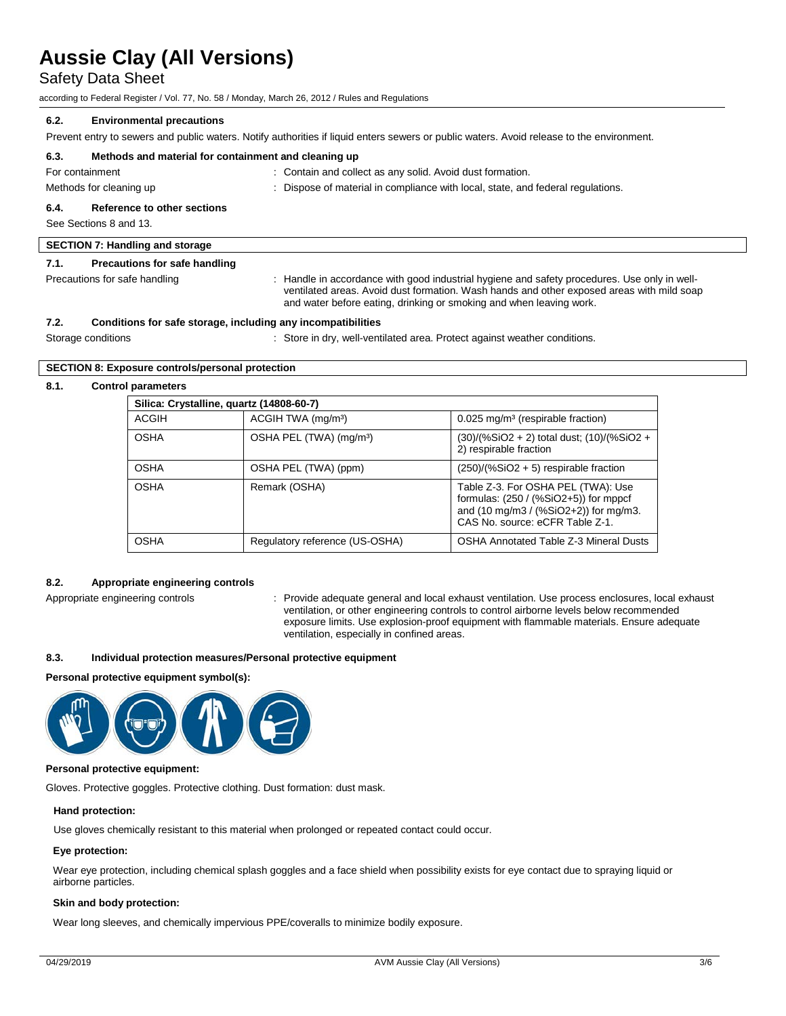Safety Data Sheet

according to Federal Register / Vol. 77, No. 58 / Monday, March 26, 2012 / Rules and Regulations

#### **6.2. Environmental precautions**

Prevent entry to sewers and public waters. Notify authorities if liquid enters sewers or public waters. Avoid release to the environment.

| 6.3. | Methods and material for containment and cleaning up |                                                                                                                                                                                           |
|------|------------------------------------------------------|-------------------------------------------------------------------------------------------------------------------------------------------------------------------------------------------|
|      | For containment                                      | : Contain and collect as any solid. Avoid dust formation.                                                                                                                                 |
|      | Methods for cleaning up                              | : Dispose of material in compliance with local, state, and federal regulations.                                                                                                           |
| 6.4. | Reference to other sections                          |                                                                                                                                                                                           |
|      | See Sections 8 and 13.                               |                                                                                                                                                                                           |
|      | <b>SECTION 7: Handling and storage</b>               |                                                                                                                                                                                           |
| 7.1. | Precautions for safe handling                        |                                                                                                                                                                                           |
|      | Precautions for safe handling                        | : Handle in accordance with good industrial hygiene and safety procedures. Use only in well-<br>ventilated areas. Avoid dust formation. Wash hands and other exposed areas with mild soap |

| 7.2. | Conditions for safe storage, including any incompatibilities |
|------|--------------------------------------------------------------|
|      |                                                              |

Storage conditions **Storage conditions** : Store in dry, well-ventilated area. Protect against weather conditions.

and water before eating, drinking or smoking and when leaving work.

#### **SECTION 8: Exposure controls/personal protection**

#### **8.1. Control parameters**

| Silica: Crystalline, quartz (14808-60-7) |                                     |                                                                                                                                                                     |  |  |
|------------------------------------------|-------------------------------------|---------------------------------------------------------------------------------------------------------------------------------------------------------------------|--|--|
| ACGIH                                    | ACGIH TWA (mg/m <sup>3</sup> )      | $0.025$ mg/m <sup>3</sup> (respirable fraction)                                                                                                                     |  |  |
| <b>OSHA</b>                              | OSHA PEL (TWA) (mg/m <sup>3</sup> ) | $(30)/(%SiO2 + 2)$ total dust; $(10)/(%SiO2 +$<br>2) respirable fraction                                                                                            |  |  |
| <b>OSHA</b>                              | OSHA PEL (TWA) (ppm)                | $(250)/(%SiO2 + 5)$ respirable fraction                                                                                                                             |  |  |
| <b>OSHA</b>                              | Remark (OSHA)                       | Table Z-3. For OSHA PEL (TWA): Use<br>formulas: $(250 / (%SiO2+5))$ for mppcf<br>and $(10 \text{ mg/m}3 / (%SiO2+2))$ for mg/m3.<br>CAS No. source: eCFR Table Z-1. |  |  |
| <b>OSHA</b>                              | Regulatory reference (US-OSHA)      | <b>OSHA Annotated Table Z-3 Mineral Dusts</b>                                                                                                                       |  |  |

#### **8.2. Appropriate engineering controls**

Appropriate engineering controls : Provide adequate general and local exhaust ventilation. Use process enclosures, local exhaust ventilation, or other engineering controls to control airborne levels below recommended exposure limits. Use explosion-proof equipment with flammable materials. Ensure adequate ventilation, especially in confined areas.

#### **8.3. Individual protection measures/Personal protective equipment**

#### **Personal protective equipment symbol(s):**



#### **Personal protective equipment:**

Gloves. Protective goggles. Protective clothing. Dust formation: dust mask.

#### **Hand protection:**

Use gloves chemically resistant to this material when prolonged or repeated contact could occur.

#### **Eye protection:**

Wear eye protection, including chemical splash goggles and a face shield when possibility exists for eye contact due to spraying liquid or airborne particles.

#### **Skin and body protection:**

Wear long sleeves, and chemically impervious PPE/coveralls to minimize bodily exposure.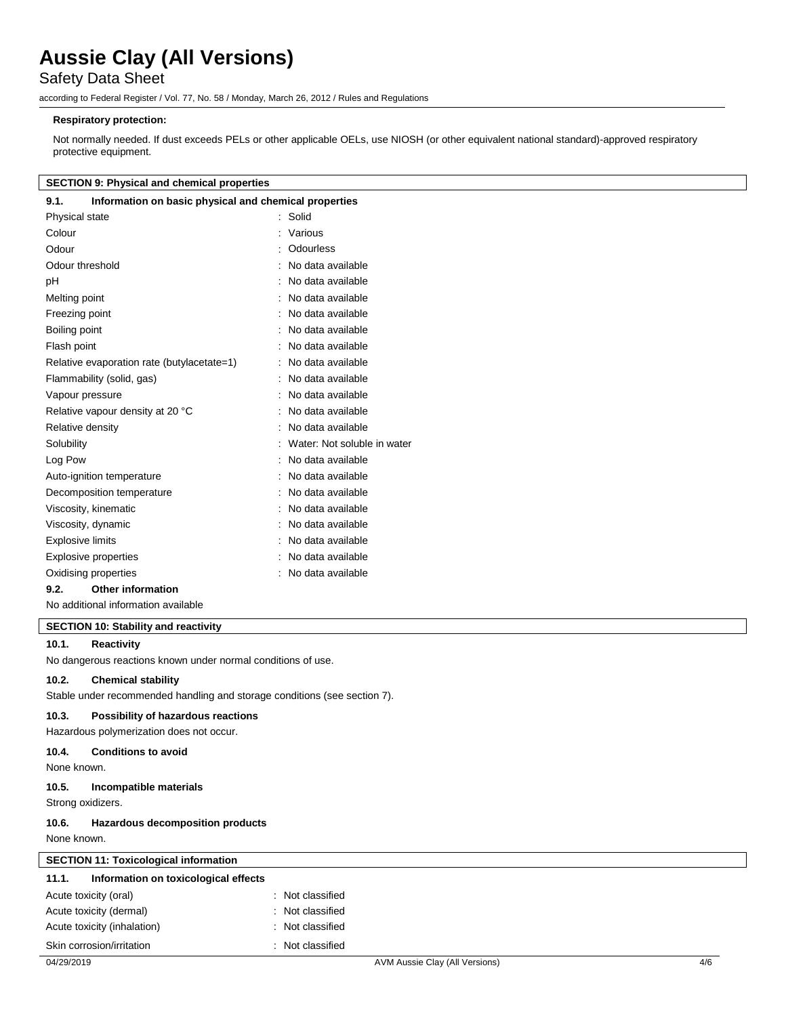Safety Data Sheet

according to Federal Register / Vol. 77, No. 58 / Monday, March 26, 2012 / Rules and Regulations

#### **Respiratory protection:**

Not normally needed. If dust exceeds PELs or other applicable OELs, use NIOSH (or other equivalent national standard)-approved respiratory protective equipment.

#### **SECTION 9: Physical and chemical properties**

| Information on basic physical and chemical properties<br>9.1. |                             |
|---------------------------------------------------------------|-----------------------------|
| Physical state                                                | Solid                       |
| Colour                                                        | Various                     |
| Odour                                                         | <b>Odourless</b>            |
| Odour threshold                                               | No data available           |
| рH                                                            | No data available           |
| Melting point                                                 | No data available           |
| Freezing point                                                | No data available           |
| Boiling point                                                 | No data available           |
| Flash point                                                   | No data available           |
| Relative evaporation rate (butylacetate=1)                    | No data available           |
| Flammability (solid, gas)                                     | No data available           |
| Vapour pressure                                               | No data available           |
| Relative vapour density at 20 °C                              | No data available           |
| Relative density                                              | No data available           |
| Solubility                                                    | Water: Not soluble in water |
| Log Pow                                                       | No data available           |
| Auto-ignition temperature                                     | No data available           |
| Decomposition temperature                                     | No data available           |
| Viscosity, kinematic                                          | No data available           |
| Viscosity, dynamic                                            | No data available           |
| <b>Explosive limits</b>                                       | No data available           |
| <b>Explosive properties</b>                                   | No data available           |
| Oxidising properties                                          | No data available           |
| <b>Other information</b><br>9.2.                              |                             |

No additional information available

#### **SECTION 10: Stability and reactivity**

### **10.1. Reactivity**

No dangerous reactions known under normal conditions of use.

#### **10.2. Chemical stability**

Stable under recommended handling and storage conditions (see section 7).

#### **10.3. Possibility of hazardous reactions**

Hazardous polymerization does not occur.

#### **10.4. Conditions to avoid**

None known.

#### **10.5. Incompatible materials**

Strong oxidizers. **10.6. Hazardous decomposition products**

None known.

### **SECTION 11: Toxicological information**

| 11.1. | Information on toxicological effects |                  |
|-------|--------------------------------------|------------------|
|       | Acute toxicity (oral)                | : Not classified |
|       | Acute toxicity (dermal)              | : Not classified |
|       | Acute toxicity (inhalation)          | : Not classified |
|       | Skin corrosion/irritation            | : Not classified |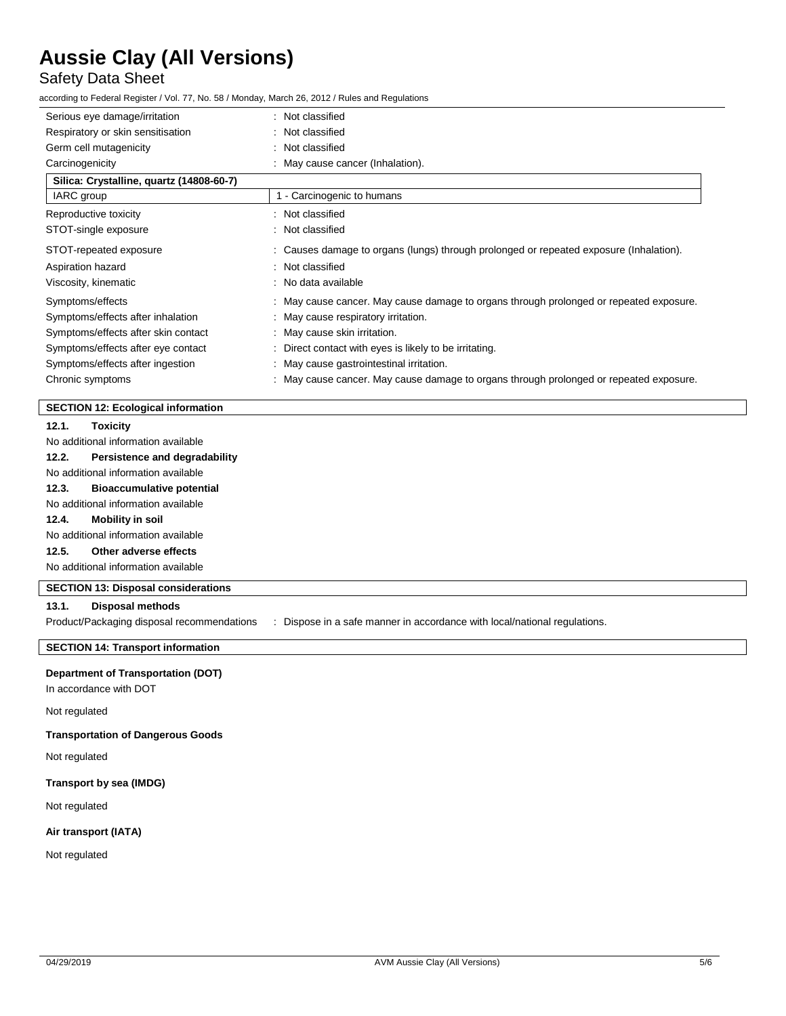# Safety Data Sheet

according to Federal Register / Vol. 77, No. 58 / Monday, March 26, 2012 / Rules and Regulations

| Serious eye damage/irritation            | : Not classified                                                                       |
|------------------------------------------|----------------------------------------------------------------------------------------|
| Respiratory or skin sensitisation        | : Not classified                                                                       |
| Germ cell mutagenicity                   | : Not classified                                                                       |
| Carcinogenicity                          | : May cause cancer (Inhalation).                                                       |
| Silica: Crystalline, quartz (14808-60-7) |                                                                                        |
| IARC group                               | 1 - Carcinogenic to humans                                                             |
| Reproductive toxicity                    | : Not classified                                                                       |
| STOT-single exposure                     | : Not classified                                                                       |
| STOT-repeated exposure                   | : Causes damage to organs (lungs) through prolonged or repeated exposure (Inhalation). |
| Aspiration hazard                        | : Not classified                                                                       |
| Viscosity, kinematic                     | : No data available                                                                    |
| Symptoms/effects                         | : May cause cancer. May cause damage to organs through prolonged or repeated exposure. |
| Symptoms/effects after inhalation        | : May cause respiratory irritation.                                                    |
| Symptoms/effects after skin contact      | : May cause skin irritation.                                                           |
| Symptoms/effects after eye contact       | : Direct contact with eyes is likely to be irritating.                                 |
| Symptoms/effects after ingestion         | : May cause gastrointestinal irritation.                                               |
| Chronic symptoms                         | : May cause cancer. May cause damage to organs through prolonged or repeated exposure. |
|                                          |                                                                                        |

#### **SECTION 12: Ecological information**

#### **12.1. Toxicity**

No additional information available

#### **12.2. Persistence and degradability**

No additional information available

#### **12.3. Bioaccumulative potential**

No additional information available

### **12.4. Mobility in soil**

No additional information available

### **12.5. Other adverse effects**

No additional information available

#### **SECTION 13: Disposal considerations**

#### **13.1. Disposal methods**

Product/Packaging disposal recommendations : Dispose in a safe manner in accordance with local/national regulations.

#### **SECTION 14: Transport information**

#### **Department of Transportation (DOT)**

In accordance with DOT

#### Not regulated

#### **Transportation of Dangerous Goods**

Not regulated

### **Transport by sea (IMDG)**

Not regulated

#### **Air transport (IATA)**

Not regulated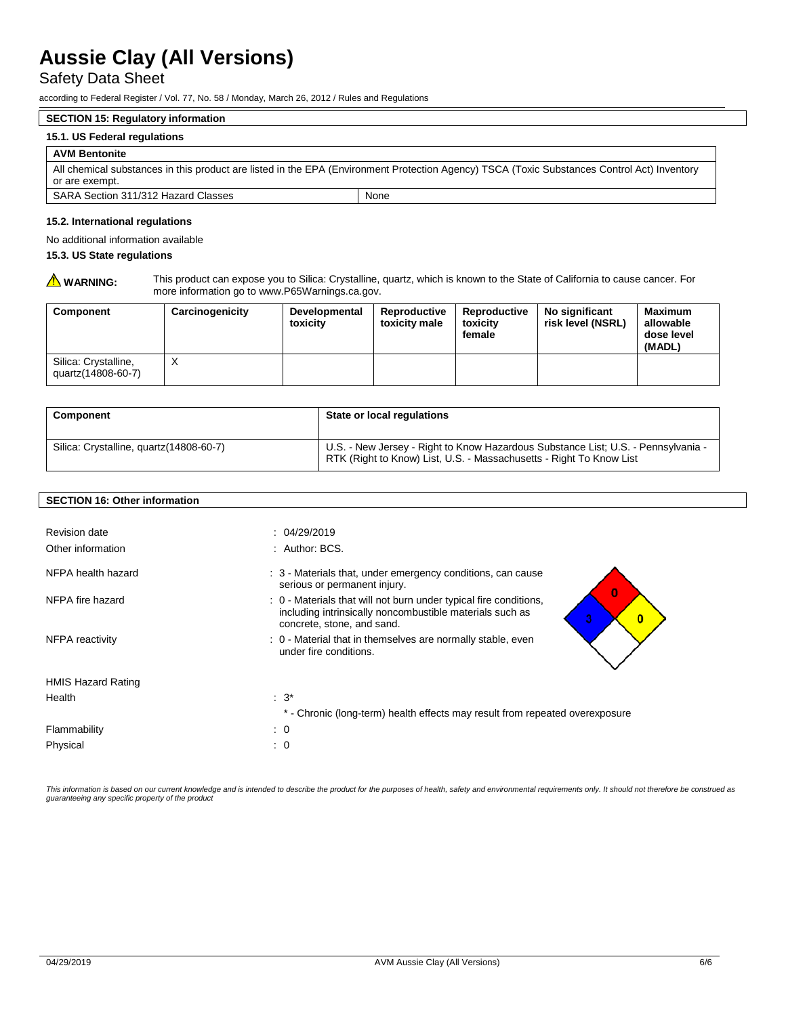Safety Data Sheet

according to Federal Register / Vol. 77, No. 58 / Monday, March 26, 2012 / Rules and Regulations

### **SECTION 15: Regulatory information**

#### **15.1. US Federal regulations**

#### **AVM Bentonite**

| All chemical substances in this product are listed in the EPA (Environment Protection Agency) TSCA (Toxic Substances Control Act) Inventory |      |  |  |
|---------------------------------------------------------------------------------------------------------------------------------------------|------|--|--|
| or are exempt.                                                                                                                              |      |  |  |
| SARA Section 311/312 Hazard Classes                                                                                                         | None |  |  |

#### **15.2. International regulations**

No additional information available

#### **15.3. US State regulations**

WARNING: This product can expose you to Silica: Crystalline, quartz, which is known to the State of California to cause cancer. For more information go to www.P65Warnings.ca.gov.

| Component                                  | Carcinogenicity | <b>Developmental</b><br>toxicity | Reproductive<br>toxicity male | Reproductive<br>toxicity<br>female | No significant<br>risk level (NSRL) | <b>Maximum</b><br>allowable<br>dose level<br>(MADL) |
|--------------------------------------------|-----------------|----------------------------------|-------------------------------|------------------------------------|-------------------------------------|-----------------------------------------------------|
| Silica: Crystalline,<br>quartz(14808-60-7) | ⋏               |                                  |                               |                                    |                                     |                                                     |

| <b>Component</b>                         | State or local regulations                                                                                                                               |
|------------------------------------------|----------------------------------------------------------------------------------------------------------------------------------------------------------|
| Silica: Crystalline, quartz (14808-60-7) | U.S. - New Jersey - Right to Know Hazardous Substance List; U.S. - Pennsylvania -<br>RTK (Right to Know) List, U.S. - Massachusetts - Right To Know List |

#### **SECTION 16: Other information**

| <b>Revision date</b><br>Other information | : 04/29/2019<br>: Author: BCS.                                                                                                                                               |
|-------------------------------------------|------------------------------------------------------------------------------------------------------------------------------------------------------------------------------|
| NFPA health hazard                        | : 3 - Materials that, under emergency conditions, can cause<br>serious or permanent injury.<br>$\bf{0}$                                                                      |
| NFPA fire hazard                          | : 0 - Materials that will not burn under typical fire conditions,<br>including intrinsically noncombustible materials such as<br>3<br>$\bf{0}$<br>concrete, stone, and sand. |
| NFPA reactivity                           | : 0 - Material that in themselves are normally stable, even<br>under fire conditions.                                                                                        |
| <b>HMIS Hazard Rating</b>                 |                                                                                                                                                                              |
| Health                                    | $\therefore$ 3 <sup>*</sup>                                                                                                                                                  |
|                                           | * - Chronic (long-term) health effects may result from repeated overexposure                                                                                                 |
| Flammability                              | $\cdot$ 0                                                                                                                                                                    |
| Physical                                  | $\therefore$ 0                                                                                                                                                               |

This information is based on our current knowledge and is intended to describe the product for the purposes of health, safety and environmental requirements only. It should not therefore be construed as *guaranteeing any specific property of the product*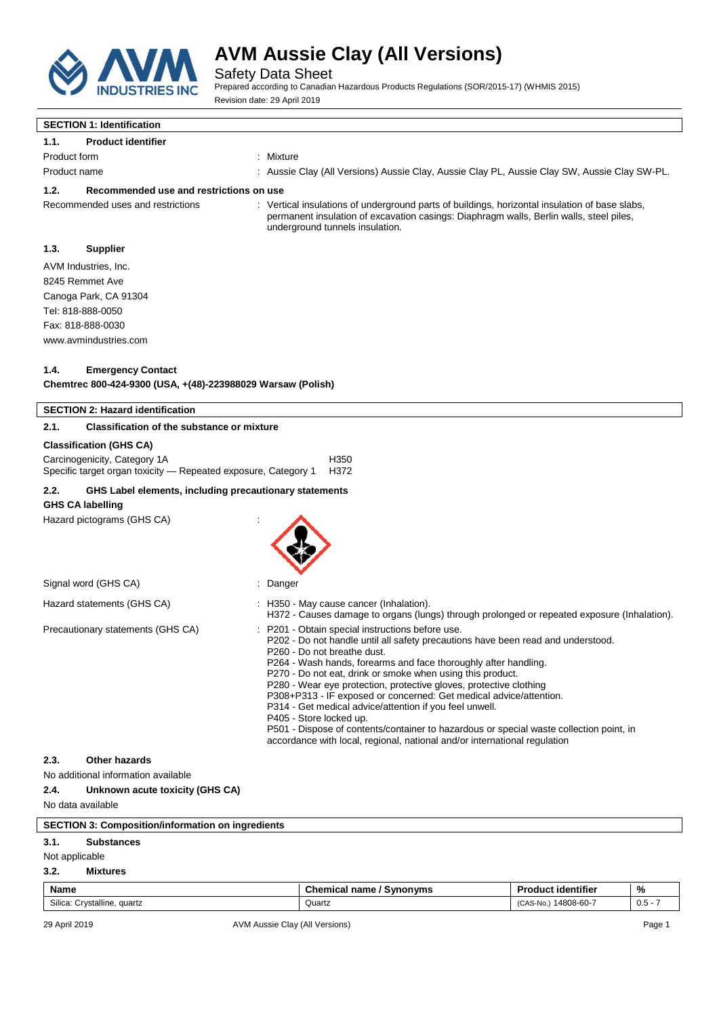

Safety Data Sheet

Prepared according to Canadian Hazardous Products Regulations (SOR/2015-17) (WHMIS 2015) Revision date: 29 April 2019

# **SECTION 1: Identification**

**1.1. Product identifier**

- Product form **: Mixture** : Mixture
- Product name : Aussie Clay (All Versions) Aussie Clay, Aussie Clay PL, Aussie Clay SW, Aussie Clay SW-PL.

#### **1.2. Recommended use and restrictions on use**

Recommended uses and restrictions : Vertical insulations of underground parts of buildings, horizontal insulation of base slabs, permanent insulation of excavation casings: Diaphragm walls, Berlin walls, steel piles, underground tunnels insulation.

### **1.3. Supplier**

AVM Industries, Inc. 8245 Remmet Ave Canoga Park, CA 91304 Tel: 818-888-0050 Fax: 818-888-0030 www.avmindustries.com

#### **1.4. Emergency Contact**

**Chemtrec 800-424-9300 (USA, +(48)-223988029 Warsaw (Polish)**

|                | <b>SECTION 2: Hazard identification</b>                                                        |        |                                                                                                                                                                                                                                                                                                                                                                                                                                                                                                                                                                                                                                                                                                              |                           |               |
|----------------|------------------------------------------------------------------------------------------------|--------|--------------------------------------------------------------------------------------------------------------------------------------------------------------------------------------------------------------------------------------------------------------------------------------------------------------------------------------------------------------------------------------------------------------------------------------------------------------------------------------------------------------------------------------------------------------------------------------------------------------------------------------------------------------------------------------------------------------|---------------------------|---------------|
| 2.1.           | <b>Classification of the substance or mixture</b>                                              |        |                                                                                                                                                                                                                                                                                                                                                                                                                                                                                                                                                                                                                                                                                                              |                           |               |
|                | <b>Classification (GHS CA)</b>                                                                 |        |                                                                                                                                                                                                                                                                                                                                                                                                                                                                                                                                                                                                                                                                                                              |                           |               |
|                | Carcinogenicity, Category 1A<br>Specific target organ toxicity - Repeated exposure, Category 1 |        | H350<br>H372                                                                                                                                                                                                                                                                                                                                                                                                                                                                                                                                                                                                                                                                                                 |                           |               |
| 2.2.           | GHS Label elements, including precautionary statements                                         |        |                                                                                                                                                                                                                                                                                                                                                                                                                                                                                                                                                                                                                                                                                                              |                           |               |
|                | <b>GHS CA labelling</b>                                                                        |        |                                                                                                                                                                                                                                                                                                                                                                                                                                                                                                                                                                                                                                                                                                              |                           |               |
|                | Hazard pictograms (GHS CA)                                                                     |        |                                                                                                                                                                                                                                                                                                                                                                                                                                                                                                                                                                                                                                                                                                              |                           |               |
|                | Signal word (GHS CA)                                                                           | Danger |                                                                                                                                                                                                                                                                                                                                                                                                                                                                                                                                                                                                                                                                                                              |                           |               |
|                | Hazard statements (GHS CA)                                                                     |        | : H350 - May cause cancer (Inhalation).<br>H372 - Causes damage to organs (lungs) through prolonged or repeated exposure (Inhalation).                                                                                                                                                                                                                                                                                                                                                                                                                                                                                                                                                                       |                           |               |
|                | Precautionary statements (GHS CA)                                                              |        | P201 - Obtain special instructions before use.<br>P202 - Do not handle until all safety precautions have been read and understood.<br>P260 - Do not breathe dust.<br>P264 - Wash hands, forearms and face thoroughly after handling.<br>P270 - Do not eat, drink or smoke when using this product.<br>P280 - Wear eye protection, protective gloves, protective clothing<br>P308+P313 - IF exposed or concerned: Get medical advice/attention.<br>P314 - Get medical advice/attention if you feel unwell.<br>P405 - Store locked up.<br>P501 - Dispose of contents/container to hazardous or special waste collection point, in<br>accordance with local, regional, national and/or international regulation |                           |               |
| 2.3.           | Other hazards                                                                                  |        |                                                                                                                                                                                                                                                                                                                                                                                                                                                                                                                                                                                                                                                                                                              |                           |               |
|                | No additional information available                                                            |        |                                                                                                                                                                                                                                                                                                                                                                                                                                                                                                                                                                                                                                                                                                              |                           |               |
| 2.4.           | Unknown acute toxicity (GHS CA)                                                                |        |                                                                                                                                                                                                                                                                                                                                                                                                                                                                                                                                                                                                                                                                                                              |                           |               |
|                | No data available                                                                              |        |                                                                                                                                                                                                                                                                                                                                                                                                                                                                                                                                                                                                                                                                                                              |                           |               |
|                | <b>SECTION 3: Composition/information on ingredients</b>                                       |        |                                                                                                                                                                                                                                                                                                                                                                                                                                                                                                                                                                                                                                                                                                              |                           |               |
| 3.1.           | <b>Substances</b>                                                                              |        |                                                                                                                                                                                                                                                                                                                                                                                                                                                                                                                                                                                                                                                                                                              |                           |               |
| Not applicable |                                                                                                |        |                                                                                                                                                                                                                                                                                                                                                                                                                                                                                                                                                                                                                                                                                                              |                           |               |
| 3.2.           | <b>Mixtures</b>                                                                                |        |                                                                                                                                                                                                                                                                                                                                                                                                                                                                                                                                                                                                                                                                                                              |                           |               |
| <b>Name</b>    |                                                                                                |        | <b>Chemical name / Synonyms</b>                                                                                                                                                                                                                                                                                                                                                                                                                                                                                                                                                                                                                                                                              | <b>Product identifier</b> | $\frac{0}{0}$ |

Silica: Crystalline, quartz 0.5 - 7 0.5 - 7 0.5 - 7 0.5 - 7 0.5 - 7 0.5 - 7 0.5 - 7 0.5 - 7 0.5 - 7 0.5 - 7 0.5 - 7 0.5 - 7 0.5 - 7 0.5 - 7 0.5 - 7 0.5 - 7 0.5 - 7 0.5 - 7 0.5 - 7 0.5 - 7 0.5 - 7 0.5 - 7 0.5 - 7 0.5 - 7 0.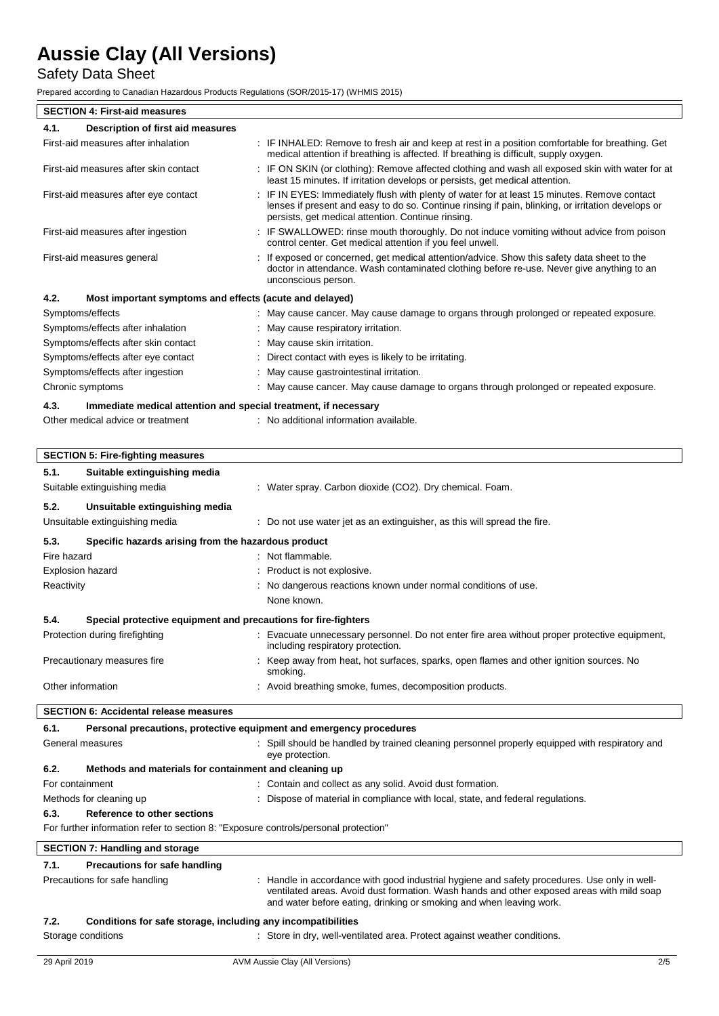# Safety Data Sheet

Prepared according to Canadian Hazardous Products Regulations (SOR/2015-17) (WHMIS 2015)

| <b>SECTION 4: First-aid measures</b>                                                |                                                                                                                                                                                                                                                                  |
|-------------------------------------------------------------------------------------|------------------------------------------------------------------------------------------------------------------------------------------------------------------------------------------------------------------------------------------------------------------|
| 4.1.<br>Description of first aid measures                                           |                                                                                                                                                                                                                                                                  |
| First-aid measures after inhalation                                                 | : IF INHALED: Remove to fresh air and keep at rest in a position comfortable for breathing. Get<br>medical attention if breathing is affected. If breathing is difficult, supply oxygen.                                                                         |
| First-aid measures after skin contact                                               | : IF ON SKIN (or clothing): Remove affected clothing and wash all exposed skin with water for at<br>least 15 minutes. If irritation develops or persists, get medical attention.                                                                                 |
| First-aid measures after eye contact                                                | : IF IN EYES: Immediately flush with plenty of water for at least 15 minutes. Remove contact<br>lenses if present and easy to do so. Continue rinsing if pain, blinking, or irritation develops or<br>persists, get medical attention. Continue rinsing.         |
| First-aid measures after ingestion                                                  | : IF SWALLOWED: rinse mouth thoroughly. Do not induce vomiting without advice from poison<br>control center. Get medical attention if you feel unwell.                                                                                                           |
| First-aid measures general                                                          | : If exposed or concerned, get medical attention/advice. Show this safety data sheet to the<br>doctor in attendance. Wash contaminated clothing before re-use. Never give anything to an<br>unconscious person.                                                  |
| 4.2.<br>Most important symptoms and effects (acute and delayed)                     |                                                                                                                                                                                                                                                                  |
| Symptoms/effects                                                                    | : May cause cancer. May cause damage to organs through prolonged or repeated exposure.                                                                                                                                                                           |
| Symptoms/effects after inhalation                                                   | : May cause respiratory irritation.                                                                                                                                                                                                                              |
| Symptoms/effects after skin contact                                                 | May cause skin irritation.                                                                                                                                                                                                                                       |
| Symptoms/effects after eye contact                                                  | : Direct contact with eyes is likely to be irritating.                                                                                                                                                                                                           |
| Symptoms/effects after ingestion                                                    | : May cause gastrointestinal irritation.                                                                                                                                                                                                                         |
| Chronic symptoms                                                                    | : May cause cancer. May cause damage to organs through prolonged or repeated exposure.                                                                                                                                                                           |
| 4.3.<br>Immediate medical attention and special treatment, if necessary             |                                                                                                                                                                                                                                                                  |
| Other medical advice or treatment                                                   | : No additional information available.                                                                                                                                                                                                                           |
|                                                                                     |                                                                                                                                                                                                                                                                  |
| <b>SECTION 5: Fire-fighting measures</b>                                            |                                                                                                                                                                                                                                                                  |
| 5.1.<br>Suitable extinguishing media                                                |                                                                                                                                                                                                                                                                  |
| Suitable extinguishing media                                                        | : Water spray. Carbon dioxide (CO2). Dry chemical. Foam.                                                                                                                                                                                                         |
| 5.2.<br>Unsuitable extinguishing media                                              |                                                                                                                                                                                                                                                                  |
| Unsuitable extinguishing media                                                      | : Do not use water jet as an extinguisher, as this will spread the fire.                                                                                                                                                                                         |
| 5.3.<br>Specific hazards arising from the hazardous product                         |                                                                                                                                                                                                                                                                  |
| Fire hazard                                                                         | : Not flammable.                                                                                                                                                                                                                                                 |
| <b>Explosion hazard</b>                                                             | : Product is not explosive.                                                                                                                                                                                                                                      |
| Reactivity                                                                          | : No dangerous reactions known under normal conditions of use.                                                                                                                                                                                                   |
|                                                                                     | None known.                                                                                                                                                                                                                                                      |
| 5.4.<br>Special protective equipment and precautions for fire-fighters              |                                                                                                                                                                                                                                                                  |
| Protection during firefighting                                                      | Evacuate unnecessary personnel. Do not enter fire area without proper protective equipment,<br>including respiratory protection.                                                                                                                                 |
| Precautionary measures fire                                                         | Keep away from heat, hot surfaces, sparks, open flames and other ignition sources. No<br>smoking.                                                                                                                                                                |
| Other information                                                                   | : Avoid breathing smoke, fumes, decomposition products.                                                                                                                                                                                                          |
| <b>SECTION 6: Accidental release measures</b>                                       |                                                                                                                                                                                                                                                                  |
| 6.1.                                                                                | Personal precautions, protective equipment and emergency procedures                                                                                                                                                                                              |
| General measures                                                                    | Spill should be handled by trained cleaning personnel properly equipped with respiratory and<br>eye protection.                                                                                                                                                  |
| 6.2.<br>Methods and materials for containment and cleaning up                       |                                                                                                                                                                                                                                                                  |
| For containment                                                                     | : Contain and collect as any solid. Avoid dust formation.                                                                                                                                                                                                        |
| Methods for cleaning up                                                             | Dispose of material in compliance with local, state, and federal regulations.                                                                                                                                                                                    |
| 6.3.<br>Reference to other sections                                                 |                                                                                                                                                                                                                                                                  |
| For further information refer to section 8: "Exposure controls/personal protection" |                                                                                                                                                                                                                                                                  |
| <b>SECTION 7: Handling and storage</b>                                              |                                                                                                                                                                                                                                                                  |
| 7.1.<br>Precautions for safe handling                                               |                                                                                                                                                                                                                                                                  |
| Precautions for safe handling                                                       | : Handle in accordance with good industrial hygiene and safety procedures. Use only in well-<br>ventilated areas. Avoid dust formation. Wash hands and other exposed areas with mild soap<br>and water before eating, drinking or smoking and when leaving work. |
| Conditions for safe storage, including any incompatibilities<br>7.2.                |                                                                                                                                                                                                                                                                  |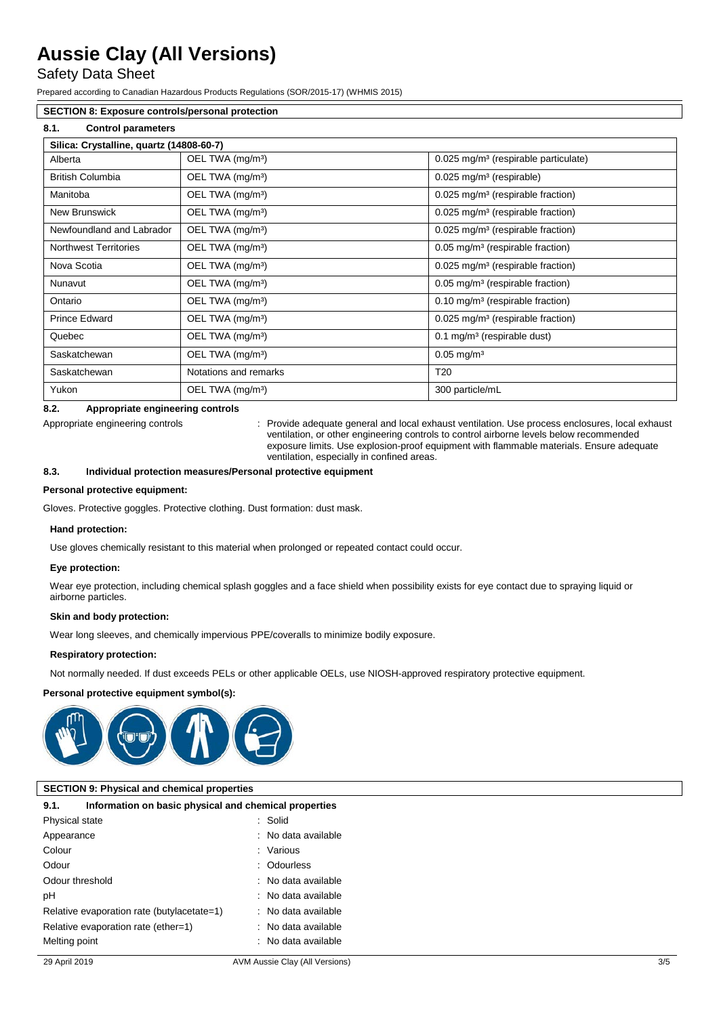## Safety Data Sheet

Prepared according to Canadian Hazardous Products Regulations (SOR/2015-17) (WHMIS 2015)

### **SECTION 8: Exposure controls/personal protection**

### **8.1. Control parameters**

| Silica: Crystalline, quartz (14808-60-7) |                              |                                                  |  |  |
|------------------------------------------|------------------------------|--------------------------------------------------|--|--|
| Alberta                                  | OEL TWA (mg/m <sup>3</sup> ) | 0.025 mg/m <sup>3</sup> (respirable particulate) |  |  |
| <b>British Columbia</b>                  | OEL TWA (mg/m <sup>3</sup> ) | $0.025$ mg/m <sup>3</sup> (respirable)           |  |  |
| Manitoba                                 | OEL TWA (mg/m <sup>3</sup> ) | 0.025 mg/m <sup>3</sup> (respirable fraction)    |  |  |
| New Brunswick                            | OEL TWA (mg/m <sup>3</sup> ) | 0.025 mg/m <sup>3</sup> (respirable fraction)    |  |  |
| Newfoundland and Labrador                | OEL TWA (mg/m <sup>3</sup> ) | 0.025 mg/m <sup>3</sup> (respirable fraction)    |  |  |
| <b>Northwest Territories</b>             | OEL TWA (mg/m <sup>3</sup> ) | 0.05 mg/m <sup>3</sup> (respirable fraction)     |  |  |
| Nova Scotia                              | OEL TWA (mg/m <sup>3</sup> ) | 0.025 mg/m <sup>3</sup> (respirable fraction)    |  |  |
| Nunavut                                  | OEL TWA (mg/m <sup>3</sup> ) | 0.05 mg/m <sup>3</sup> (respirable fraction)     |  |  |
| Ontario                                  | OEL TWA (mg/m <sup>3</sup> ) | $0.10$ mg/m <sup>3</sup> (respirable fraction)   |  |  |
| <b>Prince Edward</b>                     | OEL TWA (mg/m <sup>3</sup> ) | 0.025 mg/m <sup>3</sup> (respirable fraction)    |  |  |
| Quebec                                   | OEL TWA (mg/m <sup>3</sup> ) | $0.1 \text{ mg/m}^3$ (respirable dust)           |  |  |
| Saskatchewan                             | OEL TWA (mg/m <sup>3</sup> ) | $0.05$ mg/m <sup>3</sup>                         |  |  |
| Saskatchewan                             | Notations and remarks        | T <sub>20</sub>                                  |  |  |
| Yukon                                    | OEL TWA (mg/m <sup>3</sup> ) | 300 particle/mL                                  |  |  |

#### **8.2. Appropriate engineering controls**

Appropriate engineering controls : Provide adequate general and local exhaust ventilation. Use process enclosures, local exhaust ventilation, or other engineering controls to control airborne levels below recommended exposure limits. Use explosion-proof equipment with flammable materials. Ensure adequate ventilation, especially in confined areas.

#### **8.3. Individual protection measures/Personal protective equipment**

#### **Personal protective equipment:**

Gloves. Protective goggles. Protective clothing. Dust formation: dust mask.

#### **Hand protection:**

Use gloves chemically resistant to this material when prolonged or repeated contact could occur.

#### **Eye protection:**

Wear eye protection, including chemical splash goggles and a face shield when possibility exists for eye contact due to spraying liquid or airborne particles.

#### **Skin and body protection:**

Wear long sleeves, and chemically impervious PPE/coveralls to minimize bodily exposure.

#### **Respiratory protection:**

Not normally needed. If dust exceeds PELs or other applicable OELs, use NIOSH-approved respiratory protective equipment.

#### **Personal protective equipment symbol(s):**



#### **SECTION 9: Physical and chemical properties**

| 9.1.            | Information on basic physical and chemical properties |                     |
|-----------------|-------------------------------------------------------|---------------------|
| Physical state  |                                                       | : Solid             |
| Appearance      |                                                       | : No data available |
| Colour          |                                                       | : Various           |
| Odour           |                                                       | : Odourless         |
| Odour threshold |                                                       | : No data available |
| рH              |                                                       | : No data available |
|                 | Relative evaporation rate (butylacetate=1)            | : No data available |
|                 | Relative evaporation rate (ether=1)                   | : No data available |
| Melting point   |                                                       | : No data available |
|                 |                                                       |                     |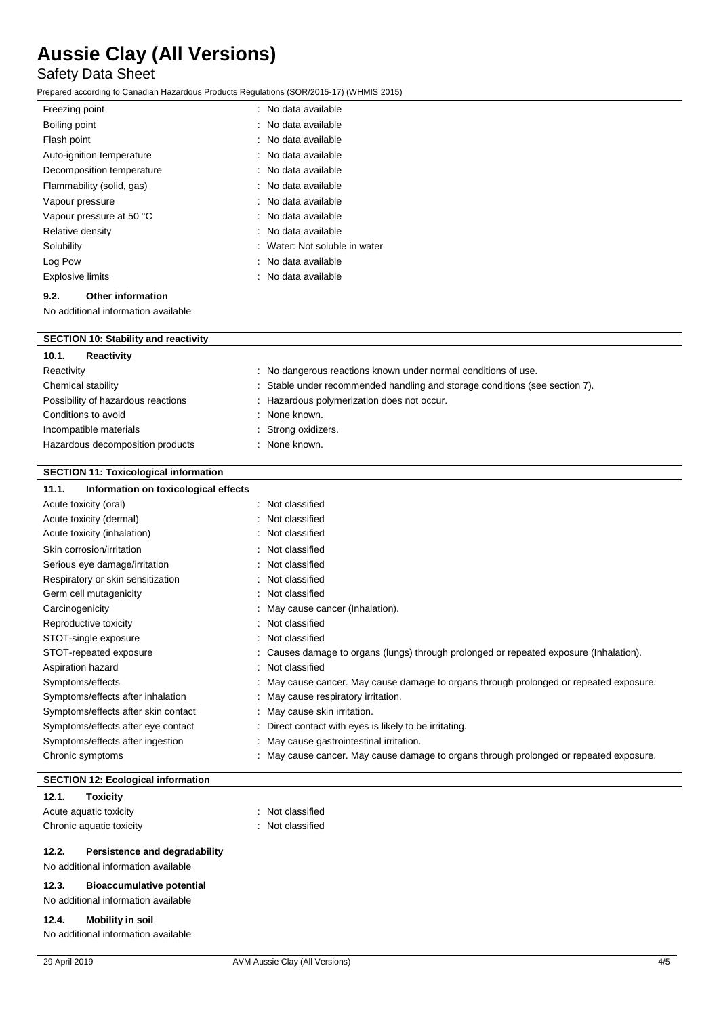# Safety Data Sheet

Prepared according to Canadian Hazardous Products Regulations (SOR/2015-17) (WHMIS 2015)

| Freezing point            | : No data available           |
|---------------------------|-------------------------------|
| Boiling point             | : No data available           |
| Flash point               | : No data available           |
| Auto-ignition temperature | : No data available           |
| Decomposition temperature | : No data available           |
| Flammability (solid, gas) | : No data available           |
| Vapour pressure           | : No data available           |
| Vapour pressure at 50 °C  | : No data available           |
| Relative density          | : No data available           |
| Solubility                | : Water: Not soluble in water |
| Log Pow                   | : No data available           |
| <b>Explosive limits</b>   | : No data available           |
|                           |                               |

### **9.2. Other information**

 $\overline{\mathbb{I}}$ 

No additional information available

| <b>SECTION 10: Stability and reactivity</b> |                                                                             |
|---------------------------------------------|-----------------------------------------------------------------------------|
| 10.1.<br>Reactivity                         |                                                                             |
| Reactivity                                  | : No dangerous reactions known under normal conditions of use.              |
| Chemical stability                          | : Stable under recommended handling and storage conditions (see section 7). |
| Possibility of hazardous reactions          | : Hazardous polymerization does not occur.                                  |
| Conditions to avoid                         | : None known.                                                               |
| Incompatible materials                      | : Strong oxidizers.                                                         |
| Hazardous decomposition products            | : None known.                                                               |

### **SECTION 11: Toxicological information**

| Information on toxicological effects<br>11.1. |   |                                                                                        |
|-----------------------------------------------|---|----------------------------------------------------------------------------------------|
| Acute toxicity (oral)                         |   | : Not classified                                                                       |
| Acute toxicity (dermal)                       |   | : Not classified                                                                       |
| Acute toxicity (inhalation)                   |   | : Not classified                                                                       |
| Skin corrosion/irritation                     |   | : Not classified                                                                       |
| Serious eye damage/irritation                 |   | : Not classified                                                                       |
| Respiratory or skin sensitization             |   | : Not classified                                                                       |
| Germ cell mutagenicity                        | ÷ | Not classified                                                                         |
| Carcinogenicity                               |   | : May cause cancer (Inhalation).                                                       |
| Reproductive toxicity                         |   | : Not classified                                                                       |
| STOT-single exposure                          |   | : Not classified                                                                       |
| STOT-repeated exposure                        |   | : Causes damage to organs (lungs) through prolonged or repeated exposure (Inhalation). |
| Aspiration hazard                             |   | : Not classified                                                                       |
| Symptoms/effects                              |   | May cause cancer. May cause damage to organs through prolonged or repeated exposure.   |
| Symptoms/effects after inhalation             |   | : May cause respiratory irritation.                                                    |
| Symptoms/effects after skin contact           |   | : May cause skin irritation.                                                           |
| Symptoms/effects after eye contact            |   | Direct contact with eyes is likely to be irritating.                                   |
| Symptoms/effects after ingestion              |   | May cause gastrointestinal irritation.                                                 |
| Chronic symptoms                              |   | May cause cancer. May cause damage to organs through prolonged or repeated exposure.   |

### **SECTION 12: Ecological information**

#### **12.1. Toxicity**

Acute aquatic toxicity **interest and the COV**  $\sim$  Not classified Chronic aquatic toxicity **Example 20** Chronic aquatic toxicity

- 
- 

#### **12.2. Persistence and degradability**

No additional information available

### **12.3. Bioaccumulative potential**

No additional information available

#### **12.4. Mobility in soil**

No additional information available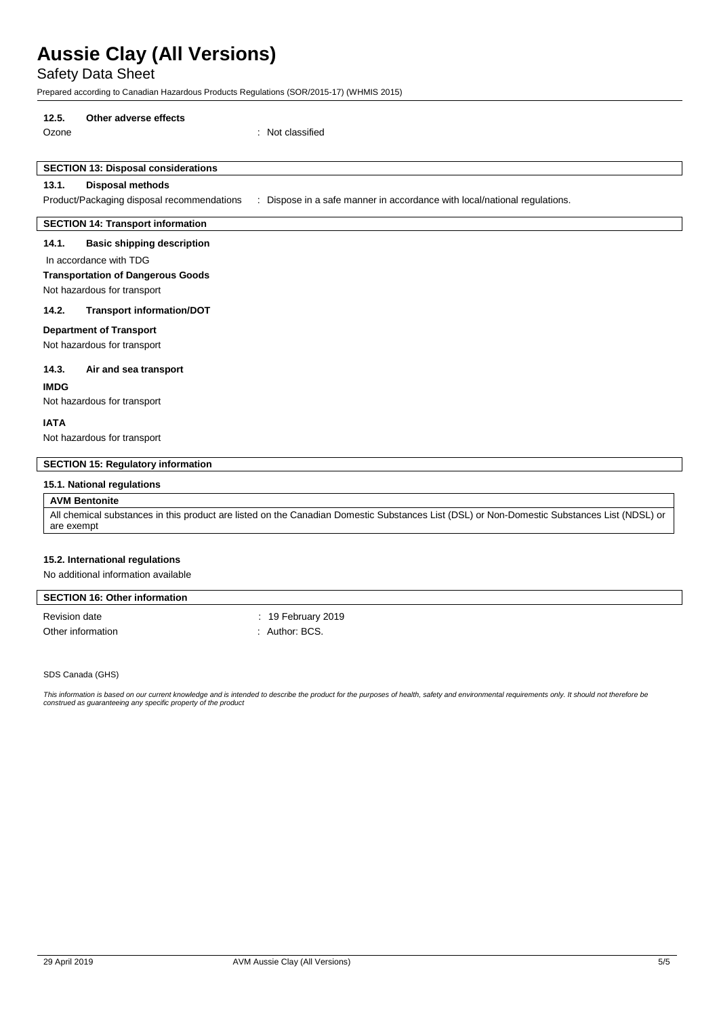Safety Data Sheet

Prepared according to Canadian Hazardous Products Regulations (SOR/2015-17) (WHMIS 2015)

#### **12.5. Other adverse effects**

Ozone : Not classified

## **SECTION 13: Disposal considerations**

#### **13.1. Disposal methods**

Product/Packaging disposal recommendations : Dispose in a safe manner in accordance with local/national regulations.

#### **SECTION 14: Transport information**

#### **14.1. Basic shipping description**

#### In accordance with TDG

#### **Transportation of Dangerous Goods**

Not hazardous for transport

#### **14.2. Transport information/DOT**

#### **Department of Transport**

Not hazardous for transport

#### **14.3. Air and sea transport**

**IMDG**

Not hazardous for transport

#### **IATA**

Not hazardous for transport

#### **SECTION 15: Regulatory information**

#### **15.1. National regulations**

#### **AVM Bentonite**

All chemical substances in this product are listed on the Canadian Domestic Substances List (DSL) or Non-Domestic Substances List (NDSL) or are exempt

#### **15.2. International regulations**

No additional information available

#### **SECTION 16: Other information**

Other information  $\blacksquare$  : Author: BCS.

Revision date : 19 February 2019

SDS Canada (GHS)

This information is based on our current knowledge and is intended to describe the product for the purposes of health, safety and environmental requirements only. It should not therefore be *construed as guaranteeing any specific property of the product*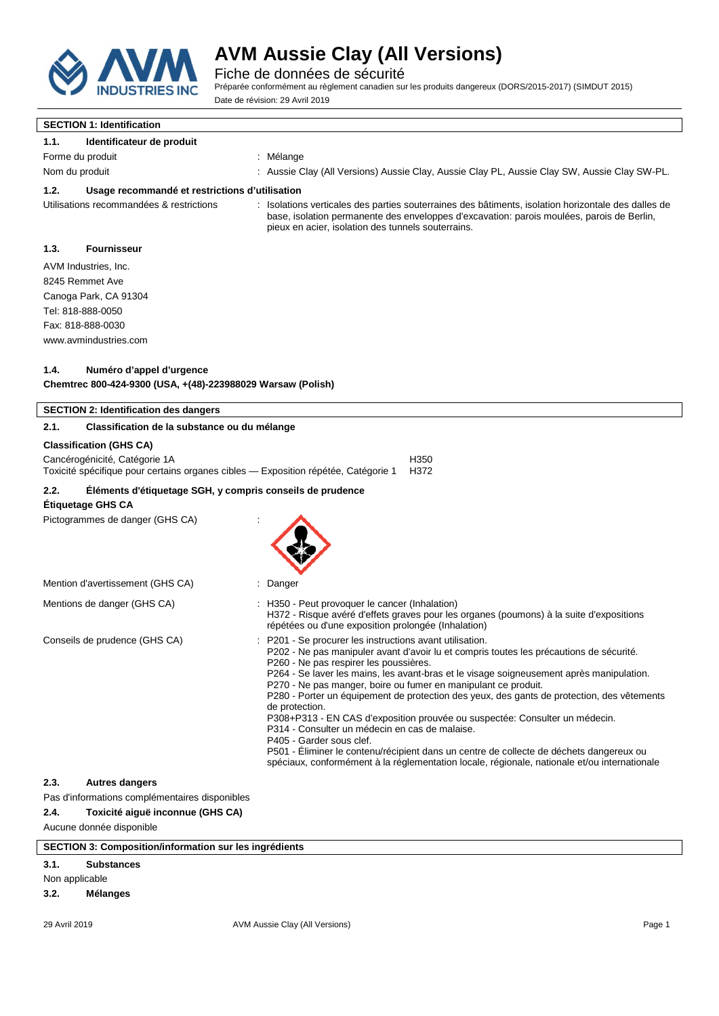

Fiche de données de sécurité

Préparée conformément au règlement canadien sur les produits dangereux (DORS/2015-2017) (SIMDUT 2015) Date de révision: 29 Avril 2019

# **SECTION 1: Identification**

### **1.1. Identificateur de produit**

- Forme du produit intervention and the method of the Mélange
- Nom du produit **interpretata controle Clay (All Versions)** Aussie Clay, Aussie Clay PL, Aussie Clay SW, Aussie Clay SW-PL.

#### **1.2. Usage recommandé et restrictions d'utilisation**

Utilisations recommandées & restrictions : Isolations verticales des parties souterraines des bâtiments, isolation horizontale des dalles de base, isolation permanente des enveloppes d'excavation: parois moulées, parois de Berlin, pieux en acier, isolation des tunnels souterrains.

### **1.3. Fournisseur**

AVM Industries, Inc. 8245 Remmet Ave Canoga Park, CA 91304 Tel: 818-888-0050 Fax: 818-888-0030 www.avmindustries.com

#### **1.4. Numéro d'appel d'urgence**

**Chemtrec 800-424-9300 (USA, +(48)-223988029 Warsaw (Polish)**

| <b>SECTION 2: Identification des dangers</b>                                                                                                            |                                                                                                                                                                                                                                                                                                                                                                                                                                                                                                                                                                                                                                                                                                                                                                                                                                   |
|---------------------------------------------------------------------------------------------------------------------------------------------------------|-----------------------------------------------------------------------------------------------------------------------------------------------------------------------------------------------------------------------------------------------------------------------------------------------------------------------------------------------------------------------------------------------------------------------------------------------------------------------------------------------------------------------------------------------------------------------------------------------------------------------------------------------------------------------------------------------------------------------------------------------------------------------------------------------------------------------------------|
| 2.1.<br>Classification de la substance ou du mélange                                                                                                    |                                                                                                                                                                                                                                                                                                                                                                                                                                                                                                                                                                                                                                                                                                                                                                                                                                   |
| <b>Classification (GHS CA)</b><br>Cancérogénicité, Catégorie 1A<br>Toxicité spécifique pour certains organes cibles — Exposition répétée, Catégorie 1   | H350<br>H372                                                                                                                                                                                                                                                                                                                                                                                                                                                                                                                                                                                                                                                                                                                                                                                                                      |
| 2.2.<br>Éléments d'étiquetage SGH, y compris conseils de prudence<br>Étiquetage GHS CA                                                                  |                                                                                                                                                                                                                                                                                                                                                                                                                                                                                                                                                                                                                                                                                                                                                                                                                                   |
| Pictogrammes de danger (GHS CA)                                                                                                                         |                                                                                                                                                                                                                                                                                                                                                                                                                                                                                                                                                                                                                                                                                                                                                                                                                                   |
| Mention d'avertissement (GHS CA)                                                                                                                        | Danger                                                                                                                                                                                                                                                                                                                                                                                                                                                                                                                                                                                                                                                                                                                                                                                                                            |
| Mentions de danger (GHS CA)                                                                                                                             | : H350 - Peut provoquer le cancer (Inhalation)<br>H372 - Risque avéré d'effets graves pour les organes (poumons) à la suite d'expositions<br>répétées ou d'une exposition prolongée (Inhalation)                                                                                                                                                                                                                                                                                                                                                                                                                                                                                                                                                                                                                                  |
| Conseils de prudence (GHS CA)                                                                                                                           | P201 - Se procurer les instructions avant utilisation.<br>P202 - Ne pas manipuler avant d'avoir lu et compris toutes les précautions de sécurité.<br>P260 - Ne pas respirer les poussières.<br>P264 - Se laver les mains, les avant-bras et le visage soigneusement après manipulation.<br>P270 - Ne pas manger, boire ou fumer en manipulant ce produit.<br>P280 - Porter un équipement de protection des yeux, des gants de protection, des vêtements<br>de protection.<br>P308+P313 - EN CAS d'exposition prouvée ou suspectée: Consulter un médecin.<br>P314 - Consulter un médecin en cas de malaise.<br>P405 - Garder sous clef.<br>P501 - Éliminer le contenu/récipient dans un centre de collecte de déchets dangereux ou<br>spéciaux, conformément à la réglementation locale, régionale, nationale et/ou internationale |
| 2.3.<br><b>Autres dangers</b><br>Pas d'informations complémentaires disponibles<br>Toxicité aiguë inconnue (GHS CA)<br>2.4.<br>Aucune donnée disponible |                                                                                                                                                                                                                                                                                                                                                                                                                                                                                                                                                                                                                                                                                                                                                                                                                                   |
| <b>SECTION 3: Composition/information sur les ingrédients</b>                                                                                           |                                                                                                                                                                                                                                                                                                                                                                                                                                                                                                                                                                                                                                                                                                                                                                                                                                   |
| 3.1.<br><b>Substances</b>                                                                                                                               |                                                                                                                                                                                                                                                                                                                                                                                                                                                                                                                                                                                                                                                                                                                                                                                                                                   |

Non applicable **3.2. Mélanges**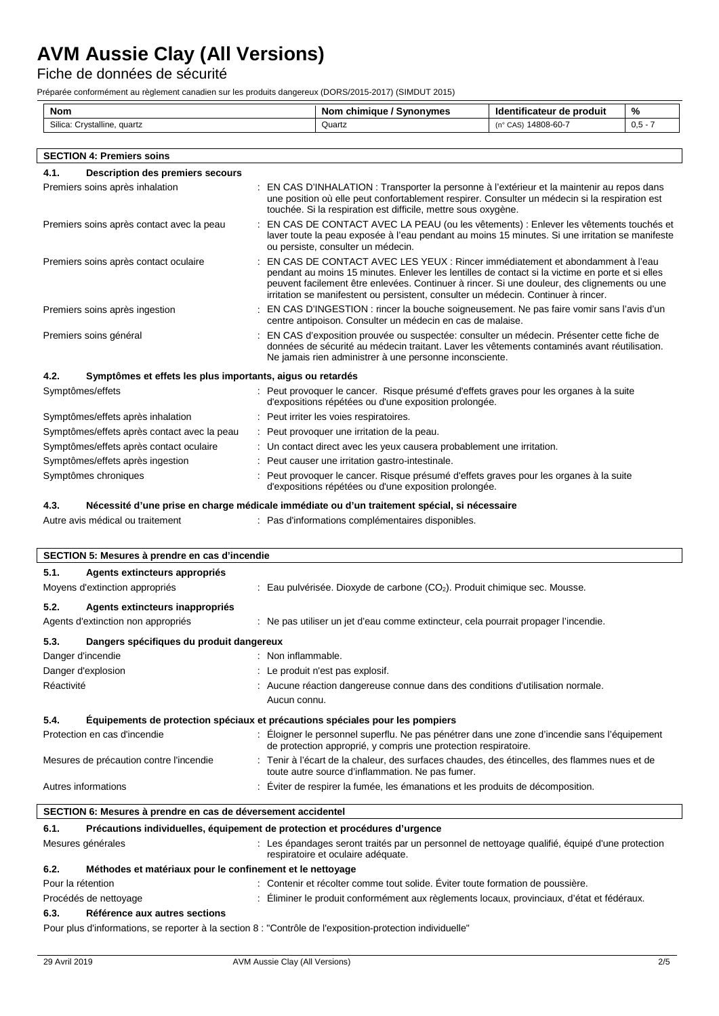Fiche de données de sécurité

Préparée conformément au règlement canadien sur les produits dangereux (DORS/2015-2017) (SIMDUT 2015)

| Nom                               | chimiaue<br>Synonymes<br>Nom | ' de produit<br>entificateur<br>Id | %       |
|-----------------------------------|------------------------------|------------------------------------|---------|
| Crystalline,<br>Silica:<br>quartz | Quartz                       | , 14808-60-7<br>$(n^{\circ}$ CAS)  | $0,5 -$ |
|                                   |                              |                                    |         |

| <b>SECTION 4: Premiers soins</b>                                   |                                                                                                                                                                                                                                                                                                                                                                         |  |
|--------------------------------------------------------------------|-------------------------------------------------------------------------------------------------------------------------------------------------------------------------------------------------------------------------------------------------------------------------------------------------------------------------------------------------------------------------|--|
| <b>Description des premiers secours</b><br>4.1.                    |                                                                                                                                                                                                                                                                                                                                                                         |  |
| Premiers soins après inhalation                                    | EN CAS D'INHALATION : Transporter la personne à l'extérieur et la maintenir au repos dans<br>une position où elle peut confortablement respirer. Consulter un médecin si la respiration est<br>touchée. Si la respiration est difficile, mettre sous oxygène.                                                                                                           |  |
| Premiers soins après contact avec la peau                          | EN CAS DE CONTACT AVEC LA PEAU (ou les vêtements) : Enlever les vêtements touchés et<br>laver toute la peau exposée à l'eau pendant au moins 15 minutes. Si une irritation se manifeste<br>ou persiste, consulter un médecin.                                                                                                                                           |  |
| Premiers soins après contact oculaire                              | EN CAS DE CONTACT AVEC LES YEUX : Rincer immédiatement et abondamment à l'eau<br>pendant au moins 15 minutes. Enlever les lentilles de contact si la victime en porte et si elles<br>peuvent facilement être enlevées. Continuer à rincer. Si une douleur, des clignements ou une<br>irritation se manifestent ou persistent, consulter un médecin. Continuer à rincer. |  |
| Premiers soins après ingestion                                     | EN CAS D'INGESTION : rincer la bouche soigneusement. Ne pas faire vomir sans l'avis d'un<br>centre antipoison. Consulter un médecin en cas de malaise.                                                                                                                                                                                                                  |  |
| Premiers soins général                                             | EN CAS d'exposition prouvée ou suspectée: consulter un médecin. Présenter cette fiche de<br>données de sécurité au médecin traitant. Laver les vêtements contaminés avant réutilisation.<br>Ne jamais rien administrer à une personne inconsciente.                                                                                                                     |  |
| 4.2.<br>Symptômes et effets les plus importants, aigus ou retardés |                                                                                                                                                                                                                                                                                                                                                                         |  |
| Symptômes/effets                                                   | : Peut provoquer le cancer. Risque présumé d'effets graves pour les organes à la suite<br>d'expositions répétées ou d'une exposition prolongée.                                                                                                                                                                                                                         |  |
| Symptômes/effets après inhalation                                  | : Peut irriter les voies respiratoires.                                                                                                                                                                                                                                                                                                                                 |  |
| Symptômes/effets après contact avec la peau                        | : Peut provoquer une irritation de la peau.                                                                                                                                                                                                                                                                                                                             |  |
| Symptômes/effets après contact oculaire                            | : Un contact direct avec les yeux causera probablement une irritation.                                                                                                                                                                                                                                                                                                  |  |
| Symptômes/effets après ingestion                                   | Peut causer une irritation gastro-intestinale.                                                                                                                                                                                                                                                                                                                          |  |
| Symptômes chroniques                                               | Peut provoquer le cancer. Risque présumé d'effets graves pour les organes à la suite                                                                                                                                                                                                                                                                                    |  |

d'expositions répétées ou d'une exposition prolongée.

### **4.3. Nécessité d'une prise en charge médicale immédiate ou d'un traitement spécial, si nécessaire**

Autre avis médical ou traitement : Pas d'informations complémentaires disponibles.

| SECTION 5: Mesures à prendre en cas d'incendie                                                         |                                                                                                                                                                 |  |  |
|--------------------------------------------------------------------------------------------------------|-----------------------------------------------------------------------------------------------------------------------------------------------------------------|--|--|
| 5.1.<br>Agents extincteurs appropriés                                                                  |                                                                                                                                                                 |  |  |
| Moyens d'extinction appropriés                                                                         | : Eau pulvérisée. Dioxyde de carbone $(CO2)$ . Produit chimique sec. Mousse.                                                                                    |  |  |
| 5.2.<br>Agents extincteurs inappropriés                                                                |                                                                                                                                                                 |  |  |
| Agents d'extinction non appropriés                                                                     | : Ne pas utiliser un jet d'eau comme extincteur, cela pourrait propager l'incendie.                                                                             |  |  |
| 5.3.<br>Dangers spécifiques du produit dangereux                                                       |                                                                                                                                                                 |  |  |
| Danger d'incendie                                                                                      | : Non inflammable.                                                                                                                                              |  |  |
| Danger d'explosion                                                                                     | : Le produit n'est pas explosif.                                                                                                                                |  |  |
| Réactivité                                                                                             | : Aucune réaction dangereuse connue dans des conditions d'utilisation normale.<br>Aucun connu.                                                                  |  |  |
| 5.4.                                                                                                   | Équipements de protection spéciaux et précautions spéciales pour les pompiers                                                                                   |  |  |
| Protection en cas d'incendie                                                                           | : Eloigner le personnel superflu. Ne pas pénétrer dans une zone d'incendie sans l'équipement<br>de protection approprié, y compris une protection respiratoire. |  |  |
| Mesures de précaution contre l'incendie                                                                | : Tenir à l'écart de la chaleur, des surfaces chaudes, des étincelles, des flammes nues et de<br>toute autre source d'inflammation. Ne pas fumer.               |  |  |
| Autres informations<br>: Éviter de respirer la fumée, les émanations et les produits de décomposition. |                                                                                                                                                                 |  |  |
| SECTION 6: Mesures à prendre en cas de déversement accidentel                                          |                                                                                                                                                                 |  |  |
| 6.1.                                                                                                   | Précautions individuelles, équipement de protection et procédures d'urgence                                                                                     |  |  |
| Mesures générales                                                                                      | : Les épandages seront traités par un personnel de nettoyage qualifié, équipé d'une protection<br>respiratoire et oculaire adéquate.                            |  |  |
| 6.2.<br>Méthodes et matériaux pour le confinement et le nettoyage                                      |                                                                                                                                                                 |  |  |
| Pour la rétention                                                                                      | : Contenir et récolter comme tout solide. Éviter toute formation de poussière.                                                                                  |  |  |
| Procédés de nettoyage                                                                                  | : Éliminer le produit conformément aux règlements locaux, provinciaux, d'état et fédéraux.                                                                      |  |  |
| 6.3.<br>Référence aux autres sections                                                                  |                                                                                                                                                                 |  |  |

Pour plus d'informations, se reporter à la section 8 : "Contrôle de l'exposition-protection individuelle"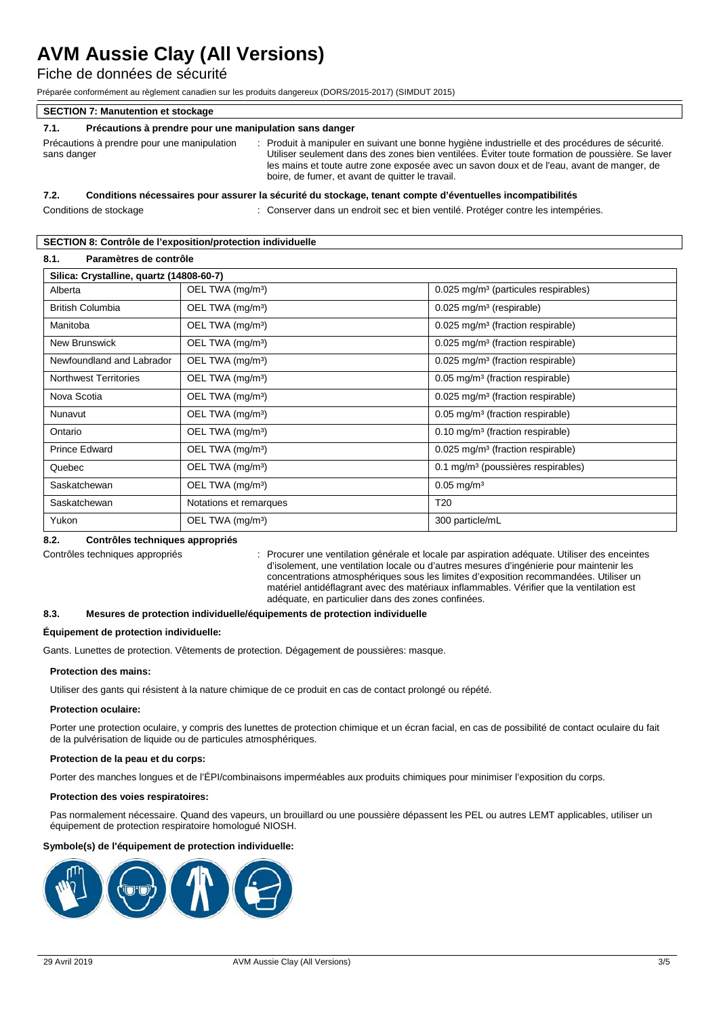## Fiche de données de sécurité

Préparée conformément au règlement canadien sur les produits dangereux (DORS/2015-2017) (SIMDUT 2015)

| <b>SECTION 7: Manutention et stockage</b>                       |                                                                                                                                                                                                                                                                                                                                                    |  |  |
|-----------------------------------------------------------------|----------------------------------------------------------------------------------------------------------------------------------------------------------------------------------------------------------------------------------------------------------------------------------------------------------------------------------------------------|--|--|
| Précautions à prendre pour une manipulation sans danger<br>7.1. |                                                                                                                                                                                                                                                                                                                                                    |  |  |
| Précautions à prendre pour une manipulation<br>sans danger      | : Produit à manipuler en suivant une bonne hygiène industrielle et des procédures de sécurité.<br>Utiliser seulement dans des zones bien ventilées. Éviter toute formation de poussière. Se laver<br>les mains et toute autre zone exposée avec un savon doux et de l'eau, avant de manger, de<br>boire, de fumer, et avant de quitter le travail. |  |  |

#### **7.2. Conditions nécessaires pour assurer la sécurité du stockage, tenant compte d'éventuelles incompatibilités**

Conditions de stockage : Conserver dans un endroit sec et bien ventilé. Protéger contre les intempéries.

#### **SECTION 8: Contrôle de l'exposition/protection individuelle**

| 8.1.<br>Paramètres de contrôle           |                              |                                                  |  |
|------------------------------------------|------------------------------|--------------------------------------------------|--|
| Silica: Crystalline, quartz (14808-60-7) |                              |                                                  |  |
| Alberta                                  | OEL TWA (mg/m <sup>3</sup> ) | 0.025 mg/m <sup>3</sup> (particules respirables) |  |
| <b>British Columbia</b>                  | OEL TWA (mg/m <sup>3</sup> ) | $0.025$ mg/m <sup>3</sup> (respirable)           |  |
| Manitoba                                 | OEL TWA (mg/m <sup>3</sup> ) | 0.025 mg/m <sup>3</sup> (fraction respirable)    |  |
| New Brunswick                            | OEL TWA (mg/m <sup>3</sup> ) | 0.025 mg/m <sup>3</sup> (fraction respirable)    |  |
| Newfoundland and Labrador                | OEL TWA (mg/m <sup>3</sup> ) | 0.025 mg/m <sup>3</sup> (fraction respirable)    |  |
| <b>Northwest Territories</b>             | OEL TWA (mg/m <sup>3</sup> ) | 0.05 mg/m <sup>3</sup> (fraction respirable)     |  |
| Nova Scotia                              | OEL TWA (mg/m <sup>3</sup> ) | 0.025 mg/m <sup>3</sup> (fraction respirable)    |  |
| Nunavut                                  | OEL TWA (mg/m <sup>3</sup> ) | 0.05 mg/m <sup>3</sup> (fraction respirable)     |  |
| Ontario                                  | OEL TWA (mg/m <sup>3</sup> ) | 0.10 mg/m <sup>3</sup> (fraction respirable)     |  |
| Prince Edward                            | OEL TWA (mg/m <sup>3</sup> ) | 0.025 mg/m <sup>3</sup> (fraction respirable)    |  |
| Quebec                                   | OEL TWA (mg/m <sup>3</sup> ) | 0.1 mg/m <sup>3</sup> (poussières respirables)   |  |
| Saskatchewan                             | OEL TWA (mg/m <sup>3</sup> ) | $0.05$ mg/m <sup>3</sup>                         |  |
| Saskatchewan                             | Notations et remarques       | T <sub>20</sub>                                  |  |
| Yukon                                    | OEL TWA (mg/m <sup>3</sup> ) | 300 particle/mL                                  |  |

#### **8.2. Contrôles techniques appropriés**

Contrôles techniques appropriés : Procurer une ventilation générale et locale par aspiration adéquate. Utiliser des enceintes d'isolement, une ventilation locale ou d'autres mesures d'ingénierie pour maintenir les concentrations atmosphériques sous les limites d'exposition recommandées. Utiliser un matériel antidéflagrant avec des matériaux inflammables. Vérifier que la ventilation est adéquate, en particulier dans des zones confinées.

#### **8.3. Mesures de protection individuelle/équipements de protection individuelle**

#### **Équipement de protection individuelle:**

Gants. Lunettes de protection. Vêtements de protection. Dégagement de poussières: masque.

#### **Protection des mains:**

Utiliser des gants qui résistent à la nature chimique de ce produit en cas de contact prolongé ou répété.

#### **Protection oculaire:**

Porter une protection oculaire, y compris des lunettes de protection chimique et un écran facial, en cas de possibilité de contact oculaire du fait de la pulvérisation de liquide ou de particules atmosphériques.

#### **Protection de la peau et du corps:**

Porter des manches longues et de l'ÉPI/combinaisons imperméables aux produits chimiques pour minimiser l'exposition du corps.

#### **Protection des voies respiratoires:**

Pas normalement nécessaire. Quand des vapeurs, un brouillard ou une poussière dépassent les PEL ou autres LEMT applicables, utiliser un équipement de protection respiratoire homologué NIOSH.

#### **Symbole(s) de l'équipement de protection individuelle:**

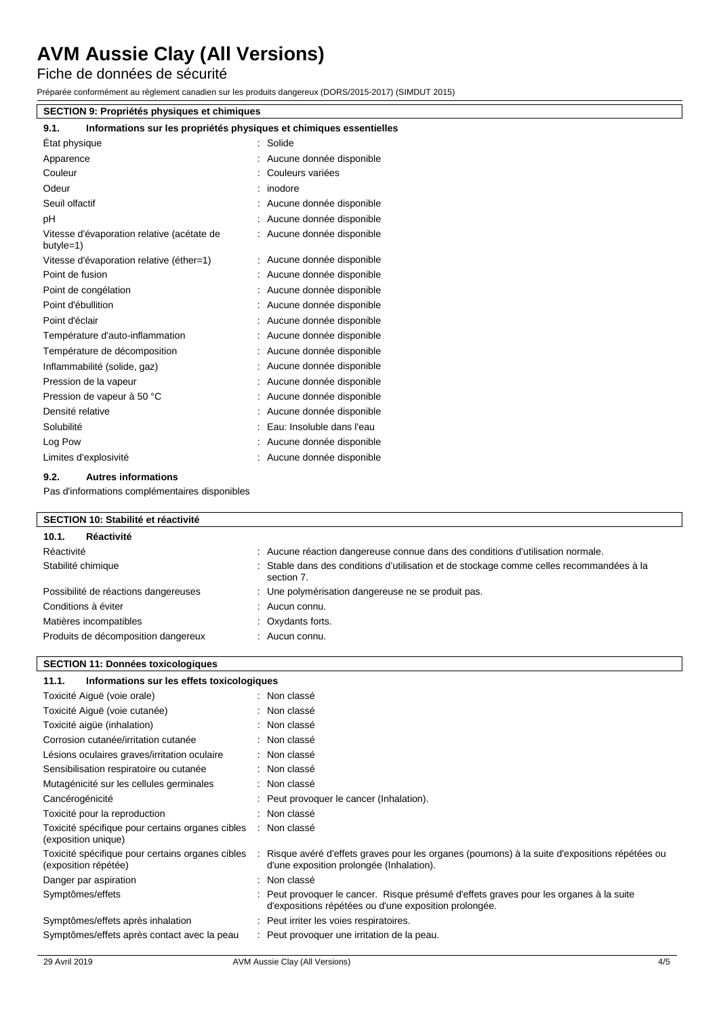Fiche de données de sécurité

Préparée conformément au règlement canadien sur les produits dangereux (DORS/2015-2017) (SIMDUT 2015)

### **SECTION 9: Propriétés physiques et chimiques**

| Informations sur les propriétés physiques et chimiques essentielles<br>9.1. |                            |
|-----------------------------------------------------------------------------|----------------------------|
| Etat physique                                                               | Solide                     |
| Apparence                                                                   | Aucune donnée disponible   |
| Couleur                                                                     | Couleurs variées           |
| Odeur                                                                       | : inodore                  |
| Seuil olfactif                                                              | Aucune donnée disponible   |
| pH                                                                          | Aucune donnée disponible   |
| Vitesse d'évaporation relative (acétate de<br>$butyle=1)$                   | : Aucune donnée disponible |
| Vitesse d'évaporation relative (éther=1)                                    | Aucune donnée disponible   |
| Point de fusion                                                             | Aucune donnée disponible   |
| Point de congélation                                                        | Aucune donnée disponible   |
| Point d'ébullition                                                          | Aucune donnée disponible   |
| Point d'éclair                                                              | Aucune donnée disponible   |
| Température d'auto-inflammation                                             | Aucune donnée disponible   |
| Température de décomposition                                                | Aucune donnée disponible   |
| Inflammabilité (solide, gaz)                                                | Aucune donnée disponible   |
| Pression de la vapeur                                                       | Aucune donnée disponible   |
| Pression de vapeur à 50 °C                                                  | Aucune donnée disponible   |
| Densité relative                                                            | Aucune donnée disponible   |
| Solubilité                                                                  | Eau: Insoluble dans l'eau  |
| Log Pow                                                                     | Aucune donnée disponible   |
| Limites d'explosivité                                                       | Aucune donnée disponible   |

#### **9.2. Autres informations**

Pas d'informations complémentaires disponibles

### **SECTION 10: Stabilité et réactivité**

| 10.1.<br>Réactivité                  |                                                                                                        |
|--------------------------------------|--------------------------------------------------------------------------------------------------------|
| Réactivité                           | : Aucune réaction dangereuse connue dans des conditions d'utilisation normale.                         |
| Stabilité chimique                   | : Stable dans des conditions d'utilisation et de stockage comme celles recommandées à la<br>section 7. |
| Possibilité de réactions dangereuses | : Une polymérisation dangereuse ne se produit pas.                                                     |
| Conditions à éviter                  | $:$ Aucun connu.                                                                                       |
| Matières incompatibles               | : Oxydants forts.                                                                                      |
| Produits de décomposition dangereux  | $:$ Aucun connu.                                                                                       |

#### **SECTION 11: Données toxicologiques**

| Informations sur les effets toxicologiques<br>11.1.                      |                                                                                                                                                 |
|--------------------------------------------------------------------------|-------------------------------------------------------------------------------------------------------------------------------------------------|
| Toxicité Aiguë (voie orale)                                              | : Non classé                                                                                                                                    |
| Toxicité Aiguë (voie cutanée)                                            | : Non classé                                                                                                                                    |
| Toxicité aigüe (inhalation)                                              | : Non classé                                                                                                                                    |
| Corrosion cutanée/irritation cutanée                                     | : Non classé                                                                                                                                    |
| Lésions oculaires graves/irritation oculaire                             | : Non classé                                                                                                                                    |
| Sensibilisation respiratoire ou cutanée                                  | : Non classé                                                                                                                                    |
| Mutagénicité sur les cellules germinales                                 | : Non classé                                                                                                                                    |
| Cancérogénicité                                                          | : Peut provoquer le cancer (Inhalation).                                                                                                        |
| Toxicité pour la reproduction                                            | : Non classé                                                                                                                                    |
| Toxicité spécifique pour certains organes cibles<br>(exposition unique)  | : Non classé                                                                                                                                    |
| Toxicité spécifique pour certains organes cibles<br>(exposition répétée) | Risque avéré d'effets graves pour les organes (poumons) à la suite d'expositions répétées ou<br>d'une exposition prolongée (Inhalation).        |
| Danger par aspiration                                                    | : Non classé                                                                                                                                    |
| Symptômes/effets                                                         | : Peut provoquer le cancer. Risque présumé d'effets graves pour les organes à la suite<br>d'expositions répétées ou d'une exposition prolongée. |
| Symptômes/effets après inhalation                                        | : Peut irriter les voies respiratoires.                                                                                                         |
| Symptômes/effets après contact avec la peau                              | : Peut provoquer une irritation de la peau.                                                                                                     |